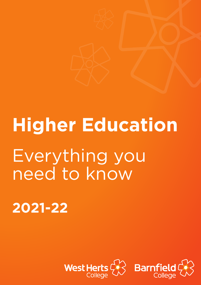# **Higher Education** Everything you need to know

**2021-22**

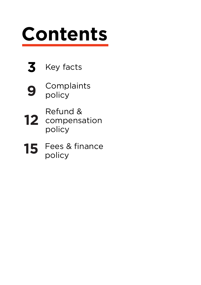## **Contents**





**9** Complaints policy

- **12** Refund & compensation policy
- **15** Fees & finance policy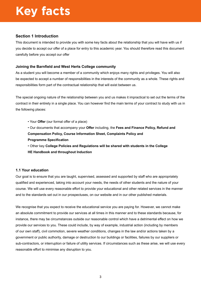#### **Section 1 Introduction**

This document is intended to provide you with some key facts about the relationship that you will have with us if you decide to accept our offer of a place for entry to this academic year. You should therefore read this document carefully before you accept our offer

#### **Joining the Barnfield and West Herts College community**

As a student you will become a member of a community which enjoys many rights and privileges. You will also be expected to accept a number of responsibilities in the interests of the community as a whole. These rights and responsibilities form part of the contractual relationship that will exist between us.

The special ongoing nature of the relationship between you and us makes it impractical to set out the terms of the contract in their entirety in a single place. You can however find the main terms of your contract to study with us in the following places:

- Your **Offer** (our formal offer of a place)
- Our documents that accompany your **Offer** including, the **Fees and Finance Policy, Refund and Compensation Policy, Course Information Sheet, Complaints Policy and Programme Specification**
- Other key **College Policies and Regulations will be shared with students in the College HE Handbook and throughout Induction**

#### **1.1 Your education**

Our goal is to ensure that you are taught, supervised, assessed and supported by staff who are appropriately qualified and experienced, taking into account your needs, the needs of other students and the nature of your course. We will use every reasonable effort to provide your educational and other related services in the manner and to the standards set out in our prospectuses, on our website and in our other published materials.

We recognise that you expect to receive the educational service you are paying for. However, we cannot make an absolute commitment to provide our services at all times in this manner and to these standards because, for instance, there may be circumstances outside our reasonable control which have a detrimental effect on how we provide our services to you. These could include, by way of example, industrial action (including by members of our own staff), civil commotion, severe weather conditions, changes in the law and/or actions taken by a government or public authority, damage or destruction to our buildings or facilities, failures by our suppliers or sub-contractors, or interruption or failure of utility services. If circumstances such as these arise, we will use every reasonable effort to minimise any disruption to you.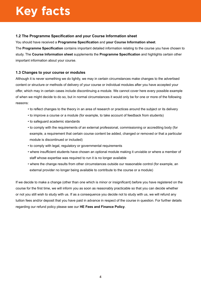#### **1.2 The Programme Specification and your Course Information sheet**

You should have received a **Programme Specification** and **your Course Information sheet**.

The **Programme Specification** contains important detailed information relating to the course you have chosen to study. The **Course Information sheet** supplements the **Programme Specification** and highlights certain other important information about your course.

#### **1.3 Changes to your course or modules**

Although it is never something we do lightly, we may in certain circumstances make changes to the advertised content or structure or methods of delivery of your course or individual modules after you have accepted your offer, which may in certain cases include discontinuing a module. We cannot cover here every possible example of when we might decide to do so, but in normal circumstances it would only be for one or more of the following reasons:

- to reflect changes to the theory in an area of research or practices around the subject or its delivery
- to improve a course or a module (for example, to take account of feedback from students)
- to safeguard academic standards
- to comply with the requirements of an external professional, commissioning or accrediting body (for example, a requirement that certain course content be added, changed or removed or that a particular module is discontinued or included)
- to comply with legal, regulatory or governmental requirements
- where insufficient students have chosen an optional module making it unviable or where a member of staff whose expertise was required to run it is no longer available
- where the change results from other circumstances outside our reasonable control (for example, an external provider no longer being available to contribute to the course or a module)

If we decide to make a change (other than one which is minor or insignificant) before you have registered on the course for the first time, we will inform you as soon as reasonably practicable so that you can decide whether or not you still wish to study with us. If as a consequence you decide not to study with us, we will refund any tuition fees and/or deposit that you have paid in advance in respect of the course in question. For further details regarding our refund policy please see our **HE Fees and Finance Policy**.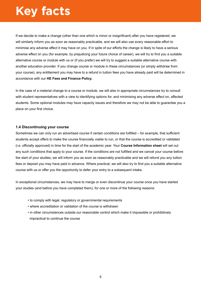If we decide to make a change (other than one which is minor or insignificant) after you have registered, we will similarly inform you as soon as reasonably practicable, and we will also use every reasonable effort to minimise any adverse effect it may have on you. If in spite of our efforts the change is likely to have a serious adverse effect on you (for example, by prejudicing your future choice of career), we will try to find you a suitable alternative course or module with us or (if you prefer) we will try to suggest a suitable alternative course with another education provider. If you change course or module in these circumstances (or simply withdraw from your course), any entitlement you may have to a refund in tuition fees you have already paid will be determined in accordance with our **HE Fees and Finance Policy.**

In the case of a material change to a course or module, we will also in appropriate circumstances try to consult with student representatives with a view to identifying options for, and minimising any adverse effect on, affected students. Some optional modules may have capacity issues and therefore we may not be able to guarantee you a place on your first choice.

#### **1.4 Discontinuing your course**

Sometimes we can only run an advertised course if certain conditions are fulfilled – for example, that sufficient students accept offers to make the course financially viable to run, or that the course is accredited or validated (i.e. officially approved) in time for the start of the academic year. Your **Course Information sheet** will set out any such conditions that apply to your course. If the conditions are not fulfilled and we cancel your course before the start of your studies, we will inform you as soon as reasonably practicable and we will refund you any tuition fees or deposit you may have paid in advance. Where practical, we will also try to find you a suitable alternative course with us or offer you the opportunity to defer your entry to a subsequent intake.

In exceptional circumstances, we may have to merge or even discontinue your course once you have started your studies (and before you have completed them), for one or more of the following reasons:

- to comply with legal, regulatory or governmental requirements
- where accreditation or validation of the course is withdrawn
- in other circumstances outside our reasonable control which make it impossible or prohibitively impractical to continue the course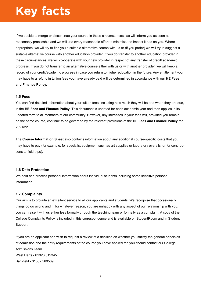If we decide to merge or discontinue your course in these circumstances, we will inform you as soon as reasonably practicable and we will use every reasonable effort to minimise the impact it has on you. Where appropriate, we will try to find you a suitable alternative course with us or (if you prefer) we will try to suggest a suitable alternative course with another education provider. If you do transfer to another education provider in these circumstances, we will co-operate with your new provider in respect of any transfer of credit/ academic progress. If you do not transfer to an alternative course either with us or with another provider, we will keep a record of your credit/academic progress in case you return to higher education in the future. Any entitlement you may have to a refund in tuition fees you have already paid will be determined in accordance with our **HE Fees and Finance Policy.**

#### **1.5 Fees**

You can find detailed information about your tuition fees, including how much they will be and when they are due, in the **HE Fees and Finance Policy**. This document is updated for each academic year and then applies in its updated form to all members of our community. However, any increases in your fees will, provided you remain on the same course, continue to be governed by the relevant provisions of the **HE Fees and Finance Policy** for 2021/22.

The **Course Information Sheet** also contains information about any additional course-specific costs that you may have to pay (for example, for specialist equipment such as art supplies or laboratory overalls, or for contributions to field trips).

#### **1.6 Data Protection**

We hold and process personal information about individual students including some sensitive personal information.

#### **1.7 Complaints**

Our aim is to provide an excellent service to all our applicants and students. We recognise that occasionally things do go wrong and if, for whatever reason, you are unhappy with any aspect of our relationship with you, you can raise it with us either less formally through the teaching team or formally as a complaint. A copy of the College Complaints Policy is included in this correspondence and is available on StudentRoom and in Student Support.

If you are an applicant and wish to request a review of a decision on whether you satisfy the general principles of admission and the entry requirements of the course you have applied for, you should contact our College Admissions Team. West Herts - 01923 812345 Barnfield - 01582 569569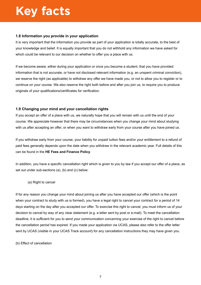#### **1.8 Information you provide in your application**

It is very important that the information you provide as part of your application is totally accurate, to the best of your knowledge and belief. It is equally important that you do not withhold any information we have asked for which could be relevant to our decision on whether to offer you a place with us.

If we become aware, either during your application or once you become a student, that you have provided information that is not accurate, or have not disclosed relevant information (e.g. an unspent criminal conviction), we reserve the right (as applicable) to withdraw any offer we have made you, or not to allow you to register or to continue on your course. We also reserve the right both before and after you join us, to require you to produce originals of your qualifications/certificates for verification.

#### **1.9 Changing your mind and your cancellation rights**

If you accept an offer of a place with us, we naturally hope that you will remain with us until the end of your course. We appreciate however that there may be circumstances when you change your mind about studying with us after accepting an offer, or when you want to withdraw early from your course after you have joined us.

If you withdraw early from your course, your liability for unpaid tuition fees and/or your entitlement to a refund of paid fees generally depends upon the date when you withdraw in the relevant academic year. Full details of this can be found in the **HE Fees and Finance Policy**.

In addition, you have a specific cancellation right which is given to you by law if you accept our offer of a place, as set out under sub-sections (a), (b) and (c) below:

(a) Right to cancel

If for any reason you change your mind about joining us after you have accepted our offer (which is the point when your contract to study with us is formed), you have a legal right to cancel your contract for a period of 14 days starting on the day after you accepted our offer. To exercise this right to cancel, you must inform us of your decision to cancel by way of any clear statement (e.g. a letter sent by post or e-mail). To meet the cancellation deadline, it is sufficient for you to send your communication concerning your exercise of the right to cancel before the cancellation period has expired. If you made your application via UCAS, please also refer to the offer letter sent by UCAS (visible in your UCAS Track account) for any cancellation instructions they may have given you.

(b) Effect of cancellation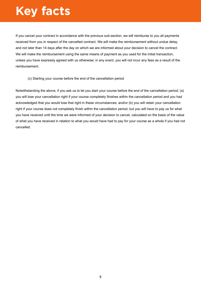If you cancel your contract in accordance with the previous sub-section, we will reimburse to you all payments received from you in respect of the cancelled contract. We will make the reimbursement without undue delay, and not later than 14 days after the day on which we are informed about your decision to cancel the contract. We will make the reimbursement using the same means of payment as you used for the initial transaction, unless you have expressly agreed with us otherwise; in any event, you will not incur any fees as a result of the reimbursement.

#### (c) Starting your course before the end of the cancellation period

Notwithstanding the above, if you ask us to let you start your course before the end of the cancellation period: (a) you will lose your cancellation right if your course completely finishes within the cancellation period and you had acknowledged that you would lose that right in these circumstances; and/or (b) you will retain your cancellation right if your course does not completely finish within the cancellation period, but you will have to pay us for what you have received until the time we were informed of your decision to cancel, calculated on the basis of the value of what you have received in relation to what you would have had to pay for your course as a whole if you had not cancelled.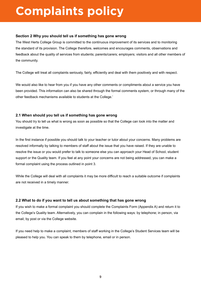### **Complaints policy**

#### **Section 2 Why you should tell us if something has gone wrong**

The West Herts College Group is committed to the continuous improvement of its services and to monitoring the standard of its provision. The College therefore, welcomes and encourages comments, observations and feedback about the quality of services from students; parents/carers; employers; visitors and all other members of the community.

The College will treat all complaints seriously, fairly, efficiently and deal with them positively and with respect.

We would also like to hear from you if you have any other comments or compliments about a service you have been provided. This information can also be shared through the formal comments system, or through many of the other feedback mechanisms available to students at the College.'

#### **2.1 When should you tell us if something has gone wrong**

You should try to tell us what is wrong as soon as possible so that the College can look into the matter and investigate at the time.

In the first instance if possible you should talk to your teacher or tutor about your concerns. Many problems are resolved informally by talking to members of staff about the issue that you have raised. If they are unable to resolve the issue or you would prefer to talk to someone else you can approach your Head of School, student support or the Quality team. If you feel at any point your concerns are not being addressed, you can make a formal complaint using the process outlined in point 3.

While the College will deal with all complaints it may be more difficult to reach a suitable outcome if complaints are not received in a timely manner.

#### **2.2 What to do if you want to tell us about something that has gone wrong**

If you wish to make a formal complaint you should complete the Complaints Form (Appendix A) and return it to the College's Quality team. Alternatively, you can complain in the following ways: by telephone; in person, via email, by post or via the College website.

If you need help to make a complaint, members of staff working in the College's Student Services team will be pleased to help you. You can speak to them by telephone, email or in person.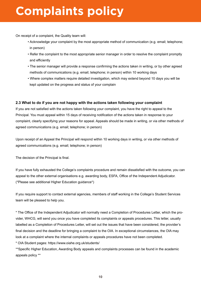### **Complaints policy**

On receipt of a complaint, the Quality team will:

- Acknowledge your complaint by the most appropriate method of communication (e.g. email; telephone; in person)
- Refer the complaint to the most appropriate senior manager in order to resolve the complaint promptly and efficiently
- The senior manager will provide a response confirming the actions taken in writing, or by other agreed methods of communications (e.g. email; telephone; in person) within 10 working days
- Where complex matters require detailed investigation, which may extend beyond 10 days you will be kept updated on the progress and status of your complain

#### **2.3 What to do if you are not happy with the actions taken following your complaint**

If you are not satisfied with the actions taken following your complaint, you have the right to appeal to the Principal. You must appeal within 15 days of receiving notification of the actions taken in response to your complaint, clearly specifying your reasons for appeal. Appeals should be made in writing, or via other methods of agreed communications (e.g. email; telephone; in person)

Upon receipt of an Appeal the Principal will respond within 10 working days in writing, or via other methods of agreed communications (e.g. email; telephone; in person)

The decision of the Principal is final.

If you have fully exhausted the College's complaints procedure and remain dissatisfied with the outcome, you can appeal to the other external organisations e.g. awarding body, ESFA, Office of the Independent Adjudicator. (\*Please see additional Higher Education guidance\*)

If you require support to contact external agencies, members of staff working in the College's Student Services team will be pleased to help you.

\* The Office of the Independent Adjudicator will normally need a Completion of Procedures Letter, which the provider, WHCG, will send you once you have completed its complaints or appeals procedures. This letter, usually labelled as a Completion of Procedures Letter, will set out the issues that have been considered, the provider's final decision and the deadline for bringing a complaint to the OIA. In exceptional circumstances, the OIA may look at a complaint where the internal complaints or appeals procedures have not been completed.

\* OIA Student pages: https://www.oiahe.org.uk/students/

\*\*Specific Higher Education, Awarding Body appeals and complaints processes can be found in the academic appeals policy \*\*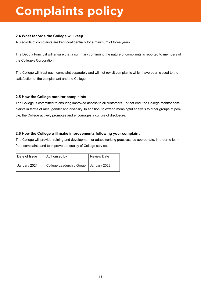## **Complaints policy**

#### **2.4 What records the College will keep**

All records of complaints are kept confidentially for a minimum of three years.

The Deputy Principal will ensure that a summary confirming the nature of complaints is reported to members of the College's Corporation.

The College will treat each complaint separately and will not revisit complaints which have been closed to the satisfaction of the complainant and the College.

#### **2.5 How the College monitor complaints**

The College is committed to ensuring improved access to all customers. To that end, the College monitor complaints in terms of race, gender and disability. In addition, to extend meaningful analysis to other groups of people, the College actively promotes and encourages a culture of disclosure.

#### **2.6 How the College will make improvements following your complaint**

The College will provide training and development or adapt working practices, as appropriate, in order to learn from complaints and to improve the quality of College services.

| l Date of Issue | Authorised by            | l Review Date |
|-----------------|--------------------------|---------------|
| I January 2021  | College Leadership Group | January 2022  |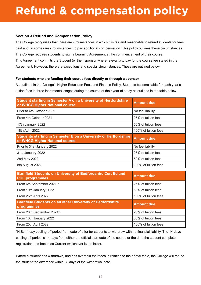### **Refund & compensation policy**

#### **Section 3 Refund and Compensation Policy**

The College recognises that there are circumstances in which it is fair and reasonable to refund students for fees paid and, in some rare circumstances, to pay additional compensation. This policy outlines these circumstances. The College requires students to sign a Learning Agreement at the commencement of their course. This Agreement commits the Student (or their sponsor where relevant) to pay for the course fee stated in the Agreement. However, there are exceptions and special circumstances. These are outlined below.

#### **For students who are funding their course fees directly or through a sponsor**

As outlined in the College's Higher Education Fees and Finance Policy, Students become liable for each year's tuition fees in three incremental stages during the course of their year of study as outlined in the table below.

| <b>Student starting in Semester A on a University of Hertfordshire</b><br>or WHCG Higher National course  | <b>Amount due</b>    |  |  |
|-----------------------------------------------------------------------------------------------------------|----------------------|--|--|
| Prior to 4th October 2021                                                                                 | No fee liability     |  |  |
| From 4th October 2021                                                                                     | 25% of tuition fees  |  |  |
| 17th January 2022                                                                                         | 50% of tuition fees  |  |  |
| 18th April 2022                                                                                           | 100% of tuition fees |  |  |
| <b>Students starting in Semester B on a University of Hertfordshire</b><br>or WHCG Higher National course | <b>Amount due</b>    |  |  |
| Prior to 31st January 2022                                                                                | No fee liability     |  |  |
| 31st January 2022                                                                                         | 25% of tuition fees  |  |  |
| 2nd May 2022                                                                                              | 50% of tuition fees  |  |  |
| 8th August 2022                                                                                           | 100% of tuition fees |  |  |
| <b>Barnfield Students on University of Bedfordshire Cert Ed and</b>                                       |                      |  |  |
| <b>PCE programmes</b>                                                                                     | <b>Amount due</b>    |  |  |
| From 6th September 2021 *                                                                                 | 25% of tuition fees  |  |  |
| From 10th January 2022                                                                                    | 50% of tuition fees  |  |  |
| From 25th April 2022                                                                                      | 100% of tuition fees |  |  |
| <b>Barnfield Students on all other University of Bedfordshire</b><br>programmes                           | <b>Amount due</b>    |  |  |
| From 20th September 2021*                                                                                 | 25% of tuition fees  |  |  |
| From 10th January 2022                                                                                    | 50% of tuition fees  |  |  |

\*N.B. 14 day cooling-off period from date of offer for students to withdraw with no financial liability. The 14 days cooling off period is 14 days from either the official start date of the course or the date the student completes registration and becomes Current (whichever is the later).

From 25th April 2022 **100%** of tuition fees

Where a student has withdrawn, and has overpaid their fees in relation to the above table, the College will refund the student the difference within 28 days of the withdrawal date.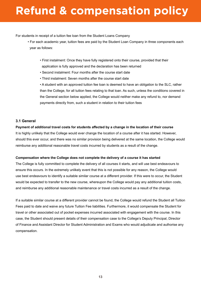### **Refund & compensation policy**

For students in receipt of a tuition fee loan from the Student Loans Company

- For each academic year, tuition fees are paid by the Student Loan Company in three components each year as follows:
	- First instalment: Once they have fully registered onto their course, provided that their application is fully approved and the declaration has been returned
	- Second instalment: Four months after the course start date
	- Third instalment: Seven months after the course start date

• A student with an approved tuition fee loan is deemed to have an obligation to the SLC, rather than the College, for all tuition fees relating to that loan. As such, unless the conditions covered in the General section below applied, the College would neither make any refund to, nor demand payments directly from, such a student in relation to their tuition fees

#### **3.1 General**

#### **Payment of additional travel costs for students affected by a change in the location of their course**

It is highly unlikely that the College would ever change the location of a course after it has started. However, should this ever occur, and there was no similar provision being delivered at the same location, the College would reimburse any additional reasonable travel costs incurred by students as a result of the change.

#### **Compensation where the College does not complete the delivery of a course it has started**

The College is fully committed to complete the delivery of all courses it starts, and will use best endeavours to ensure this occurs. In the extremely unlikely event that this is not possible for any reason, the College would use best endeavours to identify a suitable similar course at a different provider. If this were to occur, the Student would be expected to transfer to the new course, whereupon the College would pay any additional tuition costs, and reimburse any additional reasonable maintenance or travel costs incurred as a result of the change.

If a suitable similar course at a different provider cannot be found, the College would refund the Student all Tuition Fees paid to date and waive any future Tuition Fee liabilities. Furthermore, it would compensate the Student for travel or other associated out of pocket expenses incurred associated with engagement with the course. In this case, the Student should present details of their compensation case to the College's Deputy Principal, Director of Finance and Assistant Director for Student Administration and Exams who would adjudicate and authorise any compensation.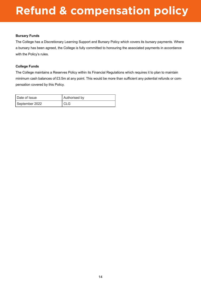### **Refund & compensation policy**

#### **Bursary Funds**

The College has a Discretionary Learning Support and Bursary Policy which covers its bursary payments. Where a bursary has been agreed, the College is fully committed to honouring the associated payments in accordance with the Policy's rules.

#### **College Funds**

The College maintains a Reserves Policy within its Financial Regulations which requires it to plan to maintain minimum cash balances of £3.5m at any point. This would be more than sufficient any potential refunds or compensation covered by this Policy.

| l Date of Issue | Authorised by |  |  |
|-----------------|---------------|--|--|
| September 2022  | CLG           |  |  |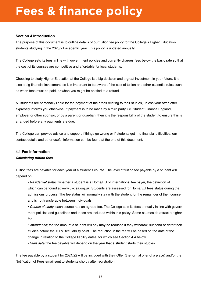#### **Section 4 Introduction**

The purpose of this document is to outline details of our tuition fee policy for the College's Higher Education students studying in the 2020/21 academic year. This policy is updated annually.

The College sets its fees in line with government policies and currently charges fees below the basic rate so that the cost of its courses are competitive and affordable for local students.

Choosing to study Higher Education at the College is a big decision and a great investment in your future. It is also a big financial investment, so it is important to be aware of the cost of tuition and other essential rules such as when fees must be paid, or when you might be entitled to a refund.

All students are personally liable for the payment of their fees relating to their studies, unless your offer letter expressly informs you otherwise. If payment is to be made by a third party, i.e. Student Finance England, employer or other sponsor, or by a parent or guardian, then it is the responsibility of the student to ensure this is arranged before any payments are due.

The College can provide advice and support if things go wrong or if students get into financial difficulties; our contact details and other useful information can be found at the end of this document.

#### **4.1 Fee information**

#### *Calculating tuition fees*

Tuition fees are payable for each year of a student's course. The level of tuition fee payable by a student will depend on:

- *Residential status;* whether a student is a Home/EU or international fee payer, the definition of which can be found at www.ukcisa.org.uk. Students are assessed for Home/EU fees status during the admissions process. The fee status will normally stay with the student for the remainder of their course and is not transferable between individuals
- *Course of study;* each course has an agreed fee. The College sets its fees annually in line with govern ment policies and guidelines and these are included within this policy. Some courses do attract a higher fee
- *Attendance;* the fee amount a student will pay may be reduced if they withdraw, suspend or defer their studies before the 100% fee liability point. The reduction in the fee will be based on the date of the change in relation to the College liability dates, for which see Section 4.4 below
- *Start date;* the fee payable will depend on the year that a student starts their studies

The fee payable by a student for 2021/22 will be included with their Offer (the formal offer of a place) and/or the Notification of Fees email sent to students shortly after registration.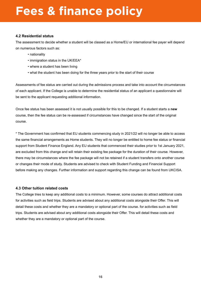#### **4.2 Residential status**

The assessment to decide whether a student will be classed as a Home/EU or international fee payer will depend on numerous factors such as:

- nationality
- immigration status in the UK/EEA\*
- where a student has been living
- what the student has been doing for the three years prior to the start of their course

Assessments of fee status are carried out during the admissions process and take into account the circumstances of each applicant. If the College is unable to determine the residential status of an applicant a questionnaire will be sent to the applicant requesting additional information.

Once fee status has been assessed it is not usually possible for this to be changed. If a student starts a **new** course, then the fee status can be re-assessed if circumstances have changed since the start of the original course.

\* The Government has confirmed that EU students commencing study in 2021/22 will no longer be able to access the same financial arrangements as Home students. They will no longer be entitled to home fee status or financial support from Student Finance England. Any EU students that commenced their studies prior to 1st January 2021, are excluded from this change and will retain their existing fee package for the duration of their course. However, there may be circumstances where the fee package will not be retained if a student transfers onto another course or changes their mode of study. Students are advised to check with Student Funding and Financial Support before making any changes. Further information and support regarding this change can be found from UKCISA.

#### **4.3 Other tuition related costs**

The College tries to keep any additional costs to a minimum. However, some courses do attract additional costs for activities such as field trips. Students are advised about any additional costs alongside their Offer. This will detail these costs and whether they are a mandatory or optional part of the course. for activities such as field trips. Students are advised about any additional costs alongside their Offer. This will detail these costs and whether they are a mandatory or optional part of the course.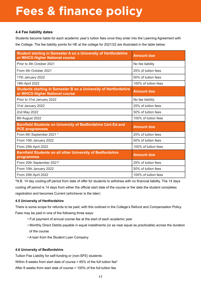#### **4.4 Fee liability dates**

Students become liable for each academic year's tuition fees once they enter into the Learning Agreement with the College. The fee liability points for HE at the college for 2021/22 are illustrated in the table below:

| <b>Student starting in Semester A on a University of Hertfordshire</b><br>or WHCG Higher National course  | <b>Amount due</b>    |  |  |
|-----------------------------------------------------------------------------------------------------------|----------------------|--|--|
| Prior to 4th October 2021                                                                                 | No fee liability     |  |  |
| From 4th October 2021                                                                                     | 25% of tuition fees  |  |  |
| 17th January 2022                                                                                         | 50% of tuition fees  |  |  |
| 18th April 2022                                                                                           | 100% of tuition fees |  |  |
| <b>Students starting in Semester B on a University of Hertfordshire</b><br>or WHCG Nigher National course | <b>Amount due</b>    |  |  |
| Prior to 31st January 2022                                                                                | No fee liability     |  |  |
| 31st January 2022                                                                                         | 25% of tuition fees  |  |  |
| 2nd May 2022                                                                                              | 50% of tuition fees  |  |  |
| 8th August 2022                                                                                           | 100% of tuition fees |  |  |
| Barnfield Students on University of Bedfordshire Cert Ed and<br><b>PCE programmes</b>                     | <b>Amount due</b>    |  |  |
| From 6th September 2021 *                                                                                 | 25% of tuition fees  |  |  |
| From 10th January 2022                                                                                    | 50% of tuition fees  |  |  |
| From 25th April 2022                                                                                      | 100% of tuition fees |  |  |
| <b>Barnfield Students on all other University of Bedfordshire</b><br>programmes                           | <b>Amount due</b>    |  |  |
| From 20th September 2021*                                                                                 | 25% of tuition fees  |  |  |
| From 10th January 2022                                                                                    | 50% of tuition fees  |  |  |
| From 25th April 2022                                                                                      | 100% of tuition fees |  |  |

\*N.B. 14 day cooling-off period from date of offer for students to withdraw with no financial liability. The 14 days cooling off period is 14 days from either the official start date of the course or the date the student completes registration and becomes Current (whichever is the later)

#### **4.5 University of Hertfordshire**

There is some scope for refunds to be paid, with this outlined in the College's Refund and Compensation Policy. Fees may be paid in one of the following three ways:

- Full payment of annual course fee at the start of each academic year
- Monthly Direct Debits payable in equal installments (or as near equal as practicable) across the duration of the course
- A loan from the Student Loan Company

#### **4.6 University of Bedfordshire**

Tuition Fee Liability for self-funding or (non-SFE) students:

Within 8 weeks from start date of course =  $65\%$  of the full tuition fee\*

After 8 weeks from start date of course = 100% of the full tuition fee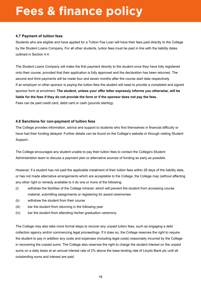#### **4.7 Payment of tuition fees**

Students who are eligible and have applied for a Tuition Fee Loan will have their fees paid directly to the College by the Student Loans Company. For all other students, tuition fees must be paid in line with the liability dates outlined in Section 4.4.

The Student Loans Company will make the first payment directly to the student once they have fully registered onto their course, provided that their application is fully approved and the declaration has been returned. The second and third payments will be made four and seven months after the course start date respectively. If an employer or other sponsor is paying the tuition fees the student will need to provide a completed and signed sponsor form at enrolment. **The student, unless your offer letter expressly informs you otherwise, will be liable for the fees if they do not provide the form or if the sponsor does not pay the fees.** Fees can be paid credit card, debit card or cash (pounds sterling).

#### **4.8 Sanctions for non-payment of tuition fees**

The College provides information, advice and support to students who find themselves in financial difficulty or have had their funding delayed. Further details can be found on the College's website or through visiting Student Support..

The College encourages any student unable to pay their tuition fees to contact the College's Student Administration team to discuss a payment plan or alternative sources of funding as early as possible.

However, if a student has not paid the applicable instalment of their tuition fees within 28 days of the liability date, or has not made alternative arrangements which are acceptable to the College, the College may (without affecting any other right or remedy available to it do one or more of the following:

- (i) withdraw the facilities of the College intranet, which will prevent the student from accessing course material, submitting assignments or registering for award ceremonies
- (ii) withdraw the student from their course
- (iii) bar the student from returning in the following year
- (iv) bar the student from attending his/her graduation ceremony

The College may also take more formal steps to recover any unpaid tuition fees, such as engaging a debt collection agency and/or commencing legal proceedings. If it does so, the College reserves the right to require the student to pay in addition any costs and expenses (including legal costs) reasonably incurred by the College in recovering the unpaid sums. The College also reserves the right to charge the student interest on the unpaid sums on a daily basis at an annual interest rate of 2% above the base lending rate of Lloyds Bank plc until all outstanding sums and interest are paid.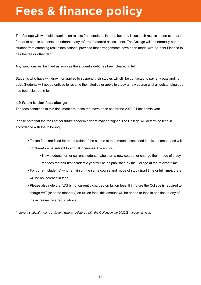The College will withhold examination results from students in debt, but may issue such results in non-standard format to enable students to undertake any referred/deferred assessment. The College will not normally bar the student from attending resit examinations, provided that arrangements have been made with Student Finance to pay the fee or other debt.

Any sanctions will be lifted as soon as the student's debt has been cleared in full.

Students who have withdrawn or applied to suspend their studies will still be contacted to pay any outstanding debt. Students will not be entitled to resume their studies or apply to study a new course until all outstanding debt has been cleared in full.

#### **4.9 When tuition fees change**

The fees contained in this document are those that have been set for the 2020/21 academic year.

Please note that the fees set for future academic years may be higher. The College will determine fees in accordance with the following:

- Tuition fees are fixed for the duration of the course at the amounts contained in this document and will not therefore be subject to annual increases. Except for,
	- New students, or for current students\* who start a new course, or change their mode of study, the fees for their first academic year will be as published by the College at the relevant time
- For current students\* who remain on the same course and mode of study (part time or full time), there will be no increase in fees
- Please also note that VAT is not currently charged on tuition fees. If in future the College is required to charge VAT (or some other tax) on tuition fees, this amount will be added to fees in addition to any of the increases referred to above

*\* "current student" means a student who is registered with the College in the 2020/21 academic year.*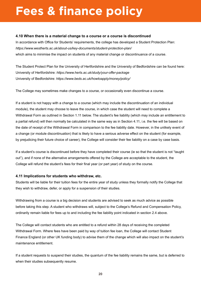#### **4.10 When there is a material change to a course or a course is discontinued**

In accordance with Office for Students' requirements, the college has developed a Student Protection Plan: *https://www.westherts.ac.uk/about-us/key-documents/student-protection-plan/* which aims to minimise the impact on students of any material change or discontinuance of a course.

The Student Protect Plan for the University of Hertfordshire and the University of Bedfordshire can be found here: University of Hertfordshire: *https://www.herts.ac.uk/study/your-offer-package*  University of Bedfordshire: *https://www.beds.ac.uk/howtoapply/money/policy/*

The College may sometimes make changes to a course, or occasionally even discontinue a course.

If a student is not happy with a change to a course (which may include the discontinuation of an individual module), the student may choose to leave the course, in which case the student will need to complete a Withdrawal Form as outlined in Section 1.11 below. The student's fee liability (which may include an entitlement to a partial refund) will then normally be calculated in the same way as in Section 4.11, i.e. the fee will be based on the date of receipt of the Withdrawal Form in comparison to the fee liability date. However, in the unlikely event of a change (or module discontinuation) that is likely to have a serious adverse effect on the student (for example, by prejudicing their future choice of career), the College will consider their fee liability on a case by case basis.

If a student's course is discontinued before they have completed their course (ie so that the student is not "taught out"), and if none of the alternative arrangements offered by the College are acceptable to the student, the College will refund the student's fees for their final year (or part year) of study on the course.

#### **4.11 Implications for students who withdraw, etc.**

Students will be liable for their tuition fees for the entire year of study unless they formally notify the College that they wish to withdraw, defer, or apply for a suspension of their studies.

Withdrawing from a course is a big decision and students are advised to seek as much advice as possible before taking this step. A student who withdraws will, subject to the College's Refund and Compensation Policy, ordinarily remain liable for fees up to and including the fee liability point indicated in section 2.4 above.

The College will contact students who are entitled to a refund within 28 days of receiving the completed Withdrawal Form. Where fees have been paid by way of tuition fee loan, the College will contact Student Finance England (or other UK funding body) to advise them of the change which will also impact on the student's maintenance entitlement.

If a student requests to suspend their studies, the quantum of the fee liability remains the same, but is deferred to when their studies subsequently resume.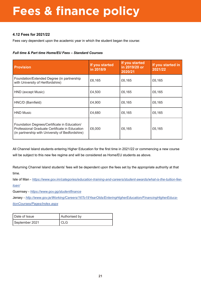#### **4.12 Fees for 2021/22**

Fees vary dependent upon the academic year in which the student began the course:

#### *Full time & Part time Home/EU Fees – Standard Courses*

| <b>Provision</b>                                                                                                                                   | If you started<br>in 2018/9 | If you started<br>in 2019/20 or<br>2020/21 | If you started in<br>2021/22 |  |
|----------------------------------------------------------------------------------------------------------------------------------------------------|-----------------------------|--------------------------------------------|------------------------------|--|
| Foundation/Extended Degree (in partnership<br>with University of Hertfordshire)                                                                    | £6,165                      | £6,165                                     | £6,165                       |  |
| HND (except Music)                                                                                                                                 | £4,500                      | £6,165                                     | £6,165                       |  |
| HNC/D (Barnfield)                                                                                                                                  | £4,900                      | £6,165                                     | £6,165                       |  |
| <b>HND Music</b>                                                                                                                                   | £4,680                      | £6,165                                     | £6,165                       |  |
| Foundation Degrees/Certificate in Education/<br>Professional Graduate Certificate in Education<br>(in partnership with University of Bedfordshire) | £6,000                      | £6,165                                     | £6,165                       |  |

All Channel Island students entering Higher Education for the first time in 2021/22 or commencing a new course will be subject to this new fee regime and will be considered as Home/EU students as above.

Returning Channel Island students' fees will be dependent upon the fees set by the appropriate authority at that time.

Isle of Man - *[https://www.gov.im/categories/education-training-and-careers/student-awards/what-is-the-tuition-fee](https://www.gov.im/categories/education-training-and-careers/student-awards/what-is-the-tuition-fee-loan/)[loan/](https://www.gov.im/categories/education-training-and-careers/student-awards/what-is-the-tuition-fee-loan/)*

Guernsey - *<https://www.gov.gg/studentfinance>*

Jersey - *[http://www.gov.je/Working/Careers/16To19YearOlds/EnteringHigherEducation/FinancingHigherEduca](http://www.gov.je/Working/Careers/16To19YearOlds/EnteringHigherEducation/FinancingHigherEducationCourses/Pages/index.aspxhttps://www.gov.im/categories/education-training-and-careers/student-awards/what-is-the-tuition-fee-loan/)[tionCourses/Pages/index.aspx](http://www.gov.je/Working/Careers/16To19YearOlds/EnteringHigherEducation/FinancingHigherEducationCourses/Pages/index.aspxhttps://www.gov.im/categories/education-training-and-careers/student-awards/what-is-the-tuition-fee-loan/)*

Date of Issue **Authorised by** September 2021 | CLG